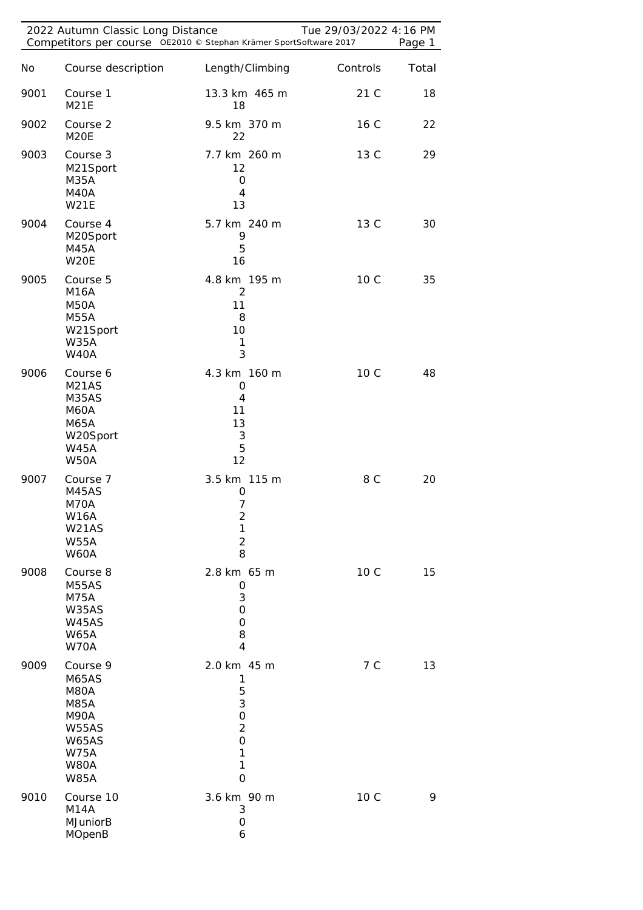|      | 2022 Autumn Classic Long Distance<br>Competitors per course OE2010 © Stephan Krämer SportSoftware 2017                               |                                                                                                        | Tue 29/03/2022 4:16 PM | Page 1 |
|------|--------------------------------------------------------------------------------------------------------------------------------------|--------------------------------------------------------------------------------------------------------|------------------------|--------|
| No   | Course description                                                                                                                   | Length/Climbing                                                                                        | Controls               | Total  |
| 9001 | Course 1<br><b>M21E</b>                                                                                                              | 13.3 km 465 m<br>18                                                                                    | 21 C                   | 18     |
| 9002 | Course 2<br>M20E                                                                                                                     | 9.5 km 370 m<br>22                                                                                     | 16 C                   | 22     |
| 9003 | Course 3<br>M21Sport<br>M35A<br>M40A<br><b>W21E</b>                                                                                  | 7.7 km 260 m<br>12<br>$\mathbf 0$<br>$\overline{4}$<br>13                                              | 13 C                   | 29     |
| 9004 | Course 4<br>M20Sport<br><b>M45A</b><br>W20E                                                                                          | 5.7 km 240 m<br>9<br>5<br>16                                                                           | 13 C                   | 30     |
| 9005 | Course 5<br><b>M16A</b><br><b>M50A</b><br><b>M55A</b><br>W21Sport<br><b>W35A</b><br><b>W40A</b>                                      | 4.8 km 195 m<br>2<br>11<br>8<br>10<br>1<br>3                                                           | 10 C                   | 35     |
| 9006 | Course 6<br>M <sub>21</sub> AS<br>M35AS<br>M60A<br>M65A<br>W20Sport<br><b>W45A</b><br><b>W50A</b>                                    | 4.3 km 160 m<br>0<br>4<br>11<br>13<br>$\sqrt{3}$<br>5<br>12                                            | 10 C                   | 48     |
| 9007 | Course 7<br>M45AS<br>M70A<br><b>W16A</b><br>W21AS<br><b>W55A</b><br><b>W60A</b>                                                      | 3.5 km 115 m<br>0<br>$\overline{7}$<br>$\overline{2}$<br>1<br>$\overline{2}$<br>8                      | 8 C                    | 20     |
| 9008 | Course 8<br>M55AS<br><b>M75A</b><br>W35AS<br>W45AS<br><b>W65A</b><br>W70A                                                            | 2.8 km 65 m<br>0<br>3<br>0<br>$\mathbf 0$<br>8<br>$\overline{4}$                                       | 10 C                   | 15     |
| 9009 | Course 9<br>M65AS<br>M80A<br><b>M85A</b><br><b>M90A</b><br><b>W55AS</b><br><b>W65AS</b><br><b>W75A</b><br><b>W80A</b><br><b>W85A</b> | 2.0 km 45 m<br>1<br>5<br>3<br>$\mathbf 0$<br>$\overline{2}$<br>$\mathbf 0$<br>1<br>1<br>$\overline{O}$ | 7 C                    | 13     |
| 9010 | Course 10<br><b>M14A</b><br><b>MJuniorB</b><br><b>MOpenB</b>                                                                         | 3.6 km 90 m<br>3<br>$\mathbf 0$<br>6                                                                   | 10 C                   | 9      |